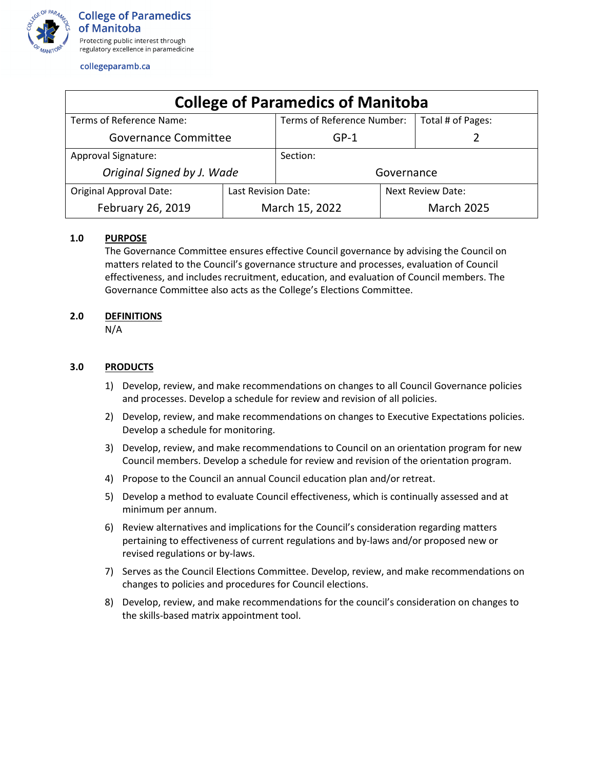

collegeparamb.ca

| <b>College of Paramedics of Manitoba</b> |                     |                            |                          |                   |
|------------------------------------------|---------------------|----------------------------|--------------------------|-------------------|
| Terms of Reference Name:                 |                     | Terms of Reference Number: |                          | Total # of Pages: |
| <b>Governance Committee</b>              |                     | $GP-1$                     |                          |                   |
| Approval Signature:                      |                     | Section:                   |                          |                   |
| Original Signed by J. Wade               |                     | Governance                 |                          |                   |
| <b>Original Approval Date:</b>           | Last Revision Date: |                            | <b>Next Review Date:</b> |                   |
| February 26, 2019                        | March 15, 2022      |                            | <b>March 2025</b>        |                   |

# **1.0 PURPOSE**

The Governance Committee ensures effective Council governance by advising the Council on matters related to the Council's governance structure and processes, evaluation of Council effectiveness, and includes recruitment, education, and evaluation of Council members. The Governance Committee also acts as the College's Elections Committee.

## **2.0 DEFINITIONS**

N/A

# **3.0 PRODUCTS**

- 1) Develop, review, and make recommendations on changes to all Council Governance policies and processes. Develop a schedule for review and revision of all policies.
- 2) Develop, review, and make recommendations on changes to Executive Expectations policies. Develop a schedule for monitoring.
- 3) Develop, review, and make recommendations to Council on an orientation program for new Council members. Develop a schedule for review and revision of the orientation program.
- 4) Propose to the Council an annual Council education plan and/or retreat.
- 5) Develop a method to evaluate Council effectiveness, which is continually assessed and at minimum per annum.
- 6) Review alternatives and implications for the Council's consideration regarding matters pertaining to effectiveness of current regulations and by-laws and/or proposed new or revised regulations or by-laws.
- 7) Serves as the Council Elections Committee. Develop, review, and make recommendations on changes to policies and procedures for Council elections.
- 8) Develop, review, and make recommendations for the council's consideration on changes to the skills-based matrix appointment tool.